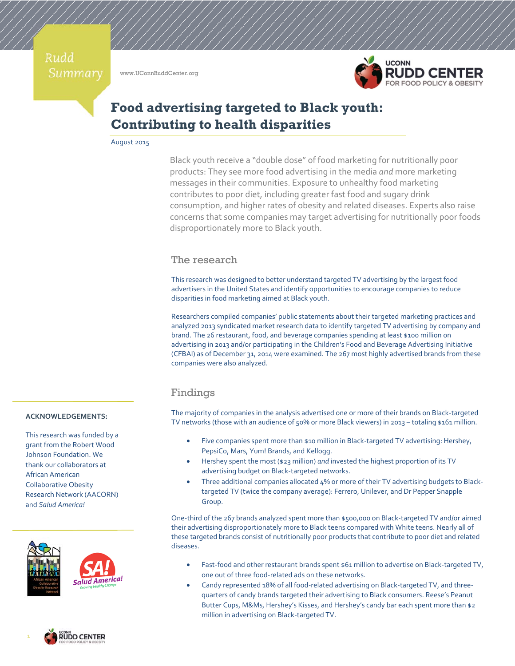Rudd Summary

www.UConnRuddCenter.org



# **Food advertising targeted to Black youth: Contributing to health disparities**

August 2015

Black youth receive a "double dose" of food marketing for nutritionally poor products: They see more food advertising in the media *and* more marketing messages in their communities. Exposure to unhealthy food marketing contributes to poor diet, including greater fast food and sugary drink consumption, and higher rates of obesity and related diseases. Experts also raise concerns that some companies may target advertising for nutritionally poor foods disproportionately more to Black youth.

## The research

This research was designed to better understand targeted TV advertising by the largest food advertisers in the United States and identify opportunities to encourage companies to reduce disparities in food marketing aimed at Black youth.

Researchers compiled companies' public statements about their targeted marketing practices and analyzed 2013 syndicated market research data to identify targeted TV advertising by company and brand. The 26 restaurant, food, and beverage companies spending at least \$100 million on advertising in 2013 and/or participating in the Children's Food and Beverage Advertising Initiative (CFBAI) as of December 31, 2014 were examined. The 267 most highly advertised brands from these companies were also analyzed.

### Findings

The majority of companies in the analysis advertised one or more of their brands on Black‐targeted TV networks (those with an audience of 50% or more Black viewers) in 2013 – totaling \$161 million.

- Five companies spent more than \$10 million in Black-targeted TV advertising: Hershey, PepsiCo, Mars, Yum! Brands, and Kellogg.
- Hershey spent the most (\$23 million) *and* invested the highest proportion of its TV advertising budget on Black‐targeted networks.
- Three additional companies allocated 4% or more of their TV advertising budgets to Black‐ targeted TV (twice the company average): Ferrero, Unilever, and Dr Pepper Snapple Group.

One‐third of the 267 brands analyzed spent more than \$500,000 on Black‐targeted TV and/or aimed their advertising disproportionately more to Black teens compared with White teens. Nearly all of these targeted brands consist of nutritionally poor products that contribute to poor diet and related diseases.

- Fast-food and other restaurant brands spent \$61 million to advertise on Black-targeted TV, one out of three food‐related ads on these networks.
- Candy represented 18% of all food‐related advertising on Black‐targeted TV, and three‐ quarters of candy brands targeted their advertising to Black consumers. Reese's Peanut Butter Cups, M&Ms, Hershey's Kisses, and Hershey's candy bar each spent more than \$2 million in advertising on Black‐targeted TV.

#### **ACKNOWLEDGEMENTS:**

This research was funded by a grant from the Robert Wood Johnson Foundation. We thank our collaborators at African American Collaborative Obesity Research Network (AACORN) and *Salud America!*



1